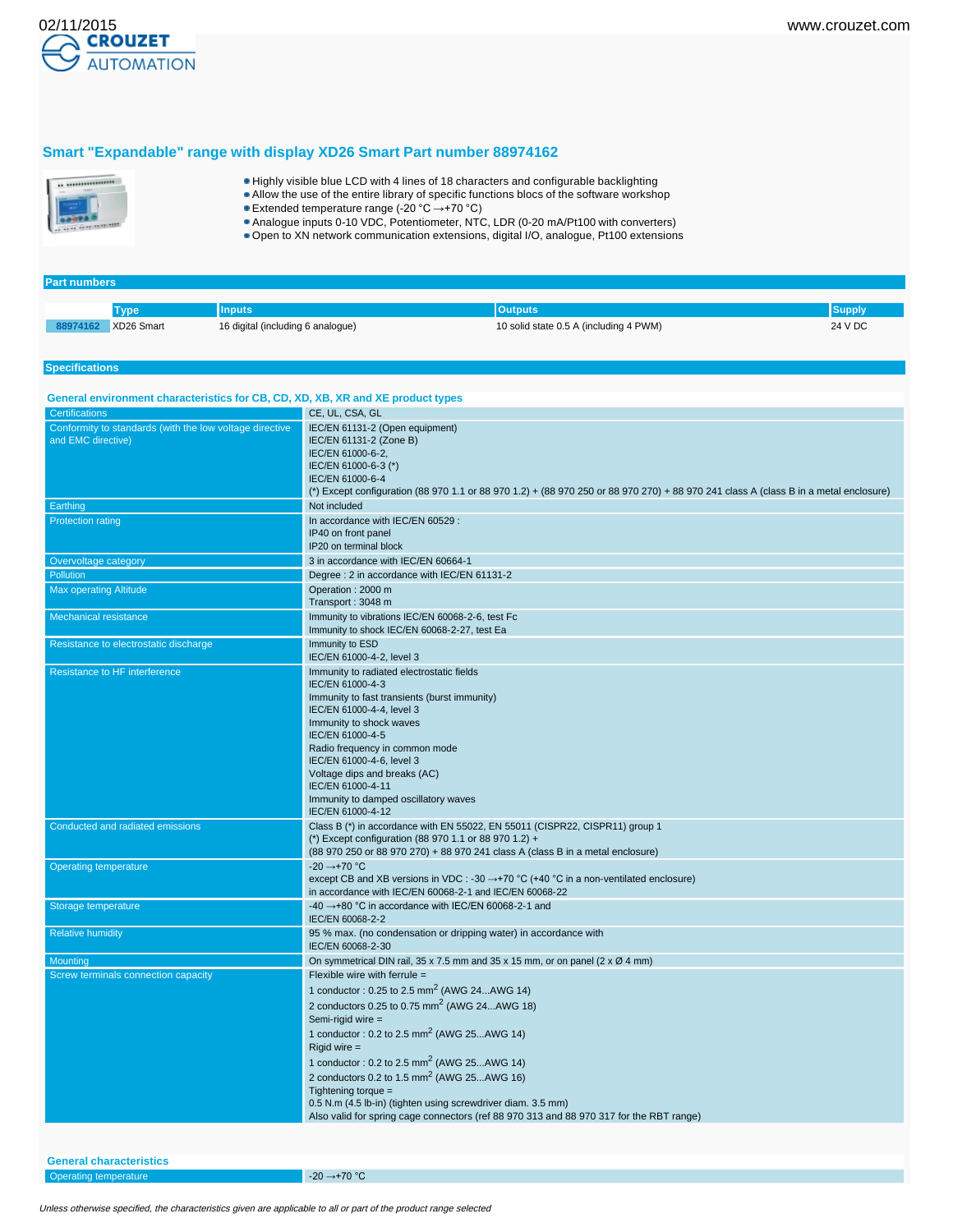

#### **Smart "Expandable" range with display XD26 Smart Part number 88974162**



**Part numbers**

- Highly visible blue LCD with 4 lines of 18 characters and configurable backlighting
- Allow the use of the entire library of specific functions blocs of the software workshop
- Extended temperature range (-20 °C →+70 °C)
- Analogue inputs 0-10 VDC, Potentiometer, NTC, LDR (0-20 mA/Pt100 with converters)
- Open to XN network communication extensions, digital I/O, analogue, Pt100 extensions

#### **Specifications Type Inputs Outputs Supply 88974162** XD26 Smart 16 digital (including 6 analogue) 10 solid state 0.5 A (including 4 PWM) 24 V DC **General environment characteristics for CB, CD, XD, XB, XR and XE product types** CE, UL, CSA, GL Conformity to standards (with the low voltage directive and EMC directive) IEC/EN 61131-2 (Open equipment) IEC/EN 61131-2 (Zone B) IEC/EN 61000-6-2, IEC/EN 61000-6-3 (\*) IEC/EN 61000-6-4 (\*) Except configuration (88 970 1.1 or 88 970 1.2) + (88 970 250 or 88 970 270) + 88 970 241 class A (class B in a metal enclosure) **Earthing** Not included Protection rating In accordance with IEC/EN 60529 : IP40 on front panel IP20 on terminal block Overvoltage category 3 in accordance with IEC/EN 60664-1 Degree : 2 in accordance with IEC/EN 61131-2 Max operating Altitude **Operation : 2000 m** Transport : 3048 m Mechanical resistance Immunity to vibrations IEC/EN 60068-2-6, test Fc Immunity to shock IEC/EN 60068-2-27, test Ea Resistance to electrostatic discharge **Immunity to ESD** IEC/EN 61000-4-2, level 3 Resistance to HF interference **Immunity is a structure in the Immunity to radiated electrostatic fields** IEC/EN 61000-4-3 Immunity to fast transients (burst immunity) IEC/EN 61000-4-4, level 3 Immunity to shock waves IEC/EN 61000-4-5 Radio frequency in common mode IEC/EN 61000-4-6, level 3 Voltage dips and breaks (AC) IEC/EN 61000-4-11 Immunity to damped oscillatory waves IEC/EN 61000-4-12 Conducted and radiated emissions Class B (\*) in accordance with EN 55022, EN 55011 (CISPR22, CISPR11) group 1 (\*) Except configuration (88 970 1.1 or 88 970 1.2) + (88 970 250 or 88 970 270) + 88 970 241 class A (class B in a metal enclosure) Operating temperature -20 →+70 °C except CB and XB versions in VDC : -30  $\rightarrow$  +70 °C (+40 °C in a non-ventilated enclosure) in accordance with IEC/EN 60068-2-1 and IEC/EN 60068-22 Storage temperature -40 →+80 °C in accordance with IEC/EN 60068-2-1 and IEC/EN 60068-2-2 Relative humidity **195 % max.** (no condensation or dripping water) in accordance with IEC/EN 60068-2-30 Mounting Construction Construction Construction Construction DIN rail, 35 x 7.5 mm and 35 x 15 mm, or on panel (2 x Ø 4 mm) Screw terminals connection capacity Flexible wire with ferrule = 1 conductor :  $0.25$  to  $2.5$  mm<sup>2</sup> (AWG 24...AWG 14) 2 conductors  $0.25$  to  $0.75$  mm<sup>2</sup> (AWG 24...AWG 18) Semi-rigid wire = 1 conductor :  $0.2$  to  $2.5$  mm<sup>2</sup> (AWG  $25...$ AWG 14) Rigid wire = 1 conductor :  $0.2$  to  $2.5$  mm<sup>2</sup> (AWG  $25...$ AWG 14) 2 conductors  $0.2$  to  $1.5$  mm<sup>2</sup> (AWG  $25...$ AWG  $16$ ) Tightening torque 0.5 N.m (4.5 lb-in) (tighten using screwdriver diam. 3.5 mm) Also valid for spring cage connectors (ref 88 970 313 and 88 970 317 for the RBT range)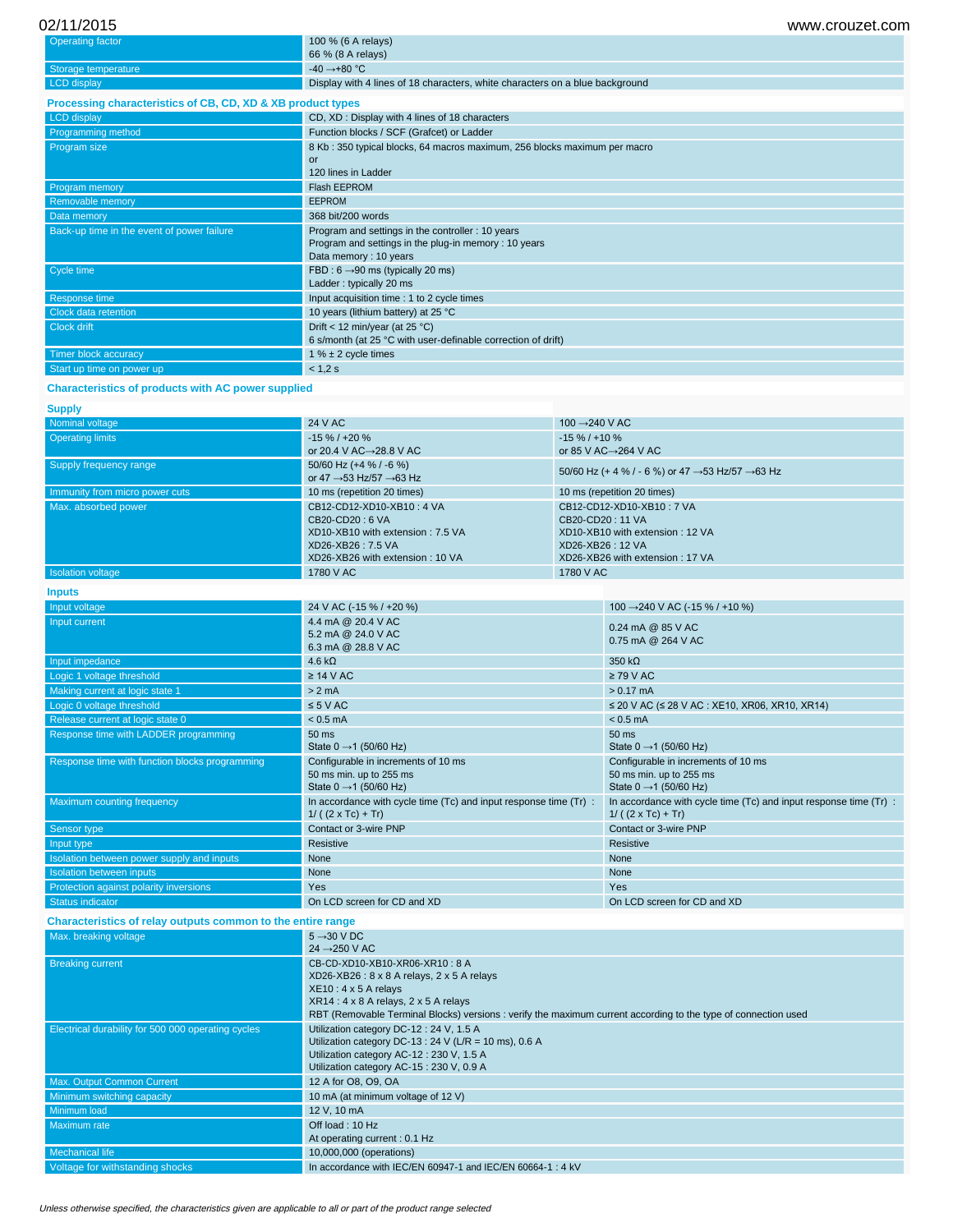# 02/11/2015 www.crouzet.com

**Inputs**

| <b>Operating factor</b>                                     | 100 % (6 A relays)                                                           |
|-------------------------------------------------------------|------------------------------------------------------------------------------|
|                                                             | 66 % (8 A relays)                                                            |
| Storage temperature                                         | $-40 \rightarrow +80$ °C                                                     |
| <b>LCD</b> display                                          | Display with 4 lines of 18 characters, white characters on a blue background |
| Processing characteristics of CB, CD, XD & XB product types |                                                                              |
| <b>LCD</b> display                                          | CD, XD: Display with 4 lines of 18 characters                                |
| Programming method                                          | Function blocks / SCF (Grafcet) or Ladder                                    |
| Program size                                                | 8 Kb: 350 typical blocks, 64 macros maximum, 256 blocks maximum per macro    |
|                                                             | or                                                                           |
|                                                             | 120 lines in Ladder                                                          |
| Program memory                                              | Flash EEPROM                                                                 |
| Removable memory                                            | <b>EEPROM</b>                                                                |
| Data memory                                                 | 368 bit/200 words                                                            |
| Back-up time in the event of power failure                  | Program and settings in the controller : 10 years                            |
|                                                             | Program and settings in the plug-in memory: 10 years                         |
|                                                             | Data memory: 10 years                                                        |
| Cycle time                                                  | FBD: $6 \rightarrow 90$ ms (typically 20 ms)                                 |
|                                                             | Ladder: typically 20 ms                                                      |
| Response time                                               | Input acquisition time : 1 to 2 cycle times                                  |
| Clock data retention                                        | 10 years (lithium battery) at 25 °C                                          |
| Clock drift                                                 | Drift < 12 min/year (at 25 $^{\circ}$ C)                                     |
|                                                             | 6 s/month (at 25 °C with user-definable correction of drift)                 |
| Timer block accuracy                                        | 1 % $\pm$ 2 cycle times                                                      |
| Start up time on power up                                   | < 1.2 s                                                                      |

# **Characteristics of products with AC power supplied**

| <b>Supply</b>                  |                                                                                                                                           |                                                                                                                                         |
|--------------------------------|-------------------------------------------------------------------------------------------------------------------------------------------|-----------------------------------------------------------------------------------------------------------------------------------------|
| Nominal voltage                | 24 V AC                                                                                                                                   | 100 $\rightarrow$ 240 V AC                                                                                                              |
| <b>Operating limits</b>        | $-15\% / +20\%$<br>or 20.4 V AC $\rightarrow$ 28.8 V AC                                                                                   | $-15\% / +10\%$<br>or 85 V AC $\rightarrow$ 264 V AC                                                                                    |
| Supply frequency range         | 50/60 Hz (+4 % / -6 %)<br>or 47 $\rightarrow$ 53 Hz/57 $\rightarrow$ 63 Hz                                                                | 50/60 Hz (+ 4 % / - 6 %) or 47 $\rightarrow$ 53 Hz/57 $\rightarrow$ 63 Hz                                                               |
| Immunity from micro power cuts | 10 ms (repetition 20 times)                                                                                                               | 10 ms (repetition 20 times)                                                                                                             |
| Max. absorbed power            | CB12-CD12-XD10-XB10: 4 VA<br>$CB20-CD20:6 VA$<br>XD10-XB10 with extension: 7.5 VA<br>XD26-XB26: 7.5 VA<br>XD26-XB26 with extension: 10 VA | CB12-CD12-XD10-XB10: 7 VA<br>CB20-CD20: 11 VA<br>XD10-XB10 with extension: 12 VA<br>XD26-XB26: 12 VA<br>XD26-XB26 with extension: 17 VA |
| Isolation voltage              | 1780 V AC                                                                                                                                 | 1780 V AC                                                                                                                               |

| mputs                                          |                                                                                                      |                                                                                                      |
|------------------------------------------------|------------------------------------------------------------------------------------------------------|------------------------------------------------------------------------------------------------------|
| Input voltage                                  | 24 V AC (-15 % / +20 %)                                                                              | 100 → 240 V AC (-15 % / +10 %)                                                                       |
| Input current                                  | 4.4 mA @ 20.4 V AC<br>5.2 mA @ 24.0 V AC<br>6.3 mA @ 28.8 V AC                                       | 0.24 mA @ 85 V AC<br>0.75 mA @ 264 V AC                                                              |
| Input impedance                                | 4.6 k $\Omega$                                                                                       | 350 $k\Omega$                                                                                        |
| Logic 1 voltage threshold                      | $\geq$ 14 V AC                                                                                       | $\geq$ 79 V AC                                                                                       |
| Making current at logic state 1                | $> 2$ mA                                                                                             | $> 0.17$ mA                                                                                          |
| Logic 0 voltage threshold                      | $\leq 5$ V AC                                                                                        | ≤ 20 V AC (≤ 28 V AC : XE10, XR06, XR10, XR14)                                                       |
| Release current at logic state 0               | $< 0.5$ mA                                                                                           | $< 0.5$ mA                                                                                           |
| Response time with LADDER programming          | 50 ms<br>State $0 \rightarrow 1$ (50/60 Hz)                                                          | 50 ms<br>State $0 \rightarrow 1$ (50/60 Hz)                                                          |
| Response time with function blocks programming | Configurable in increments of 10 ms<br>50 ms min. up to 255 ms<br>State $0 \rightarrow 1$ (50/60 Hz) | Configurable in increments of 10 ms<br>50 ms min. up to 255 ms<br>State $0 \rightarrow 1$ (50/60 Hz) |
| Maximum counting frequency                     | In accordance with cycle time (Tc) and input response time (Tr) :<br>$1/((2 \times Tc) + Tr)$        | In accordance with cycle time (Tc) and input response time (Tr) :<br>$1/((2 \times Tc) + Tr)$        |
| Sensor type                                    | Contact or 3-wire PNP                                                                                | Contact or 3-wire PNP                                                                                |
| Input type                                     | Resistive                                                                                            | Resistive                                                                                            |
| Isolation between power supply and inputs      | None                                                                                                 | None                                                                                                 |
| <b>Isolation between inputs</b>                | None                                                                                                 | None                                                                                                 |
| Protection against polarity inversions         | Yes                                                                                                  | <b>Yes</b>                                                                                           |
| <b>Status indicator</b>                        | On LCD screen for CD and XD                                                                          | On LCD screen for CD and XD                                                                          |

**Characteristics of relay outputs common to the entire range**

| Max. breaking voltage                              | $5 \rightarrow 30$ V DC<br>$24 \rightarrow 250 \text{ V AC}$                                                                                                                                                                                                                      |
|----------------------------------------------------|-----------------------------------------------------------------------------------------------------------------------------------------------------------------------------------------------------------------------------------------------------------------------------------|
| <b>Breaking current</b>                            | CB-CD-XD10-XB10-XR06-XR10: 8 A<br>XD26-XB26: 8 x 8 A relays, 2 x 5 A relays<br>$XE10: 4 \times 5$ A relays<br>$XR14:4 \times 8$ A relays, $2 \times 5$ A relays<br>RBT (Removable Terminal Blocks) versions : verify the maximum current according to the type of connection used |
| Electrical durability for 500 000 operating cycles | Utilization category DC-12: 24 V, 1.5 A<br>Utilization category DC-13 : 24 V (L/R = 10 ms), 0.6 A<br>Utilization category AC-12: 230 V, 1.5 A<br>Utilization category AC-15: 230 V, 0.9 A                                                                                         |
| Max. Output Common Current                         | 12 A for O8, O9, OA                                                                                                                                                                                                                                                               |
| Minimum switching capacity                         | 10 mA (at minimum voltage of 12 V)                                                                                                                                                                                                                                                |
| Minimum load                                       | 12 V, 10 mA                                                                                                                                                                                                                                                                       |
| Maximum rate                                       | Off load: 10 Hz<br>At operating current: 0.1 Hz                                                                                                                                                                                                                                   |
| Mechanical life                                    | 10,000,000 (operations)                                                                                                                                                                                                                                                           |
| Voltage for withstanding shocks                    | In accordance with IEC/EN 60947-1 and IEC/EN 60664-1: 4 kV                                                                                                                                                                                                                        |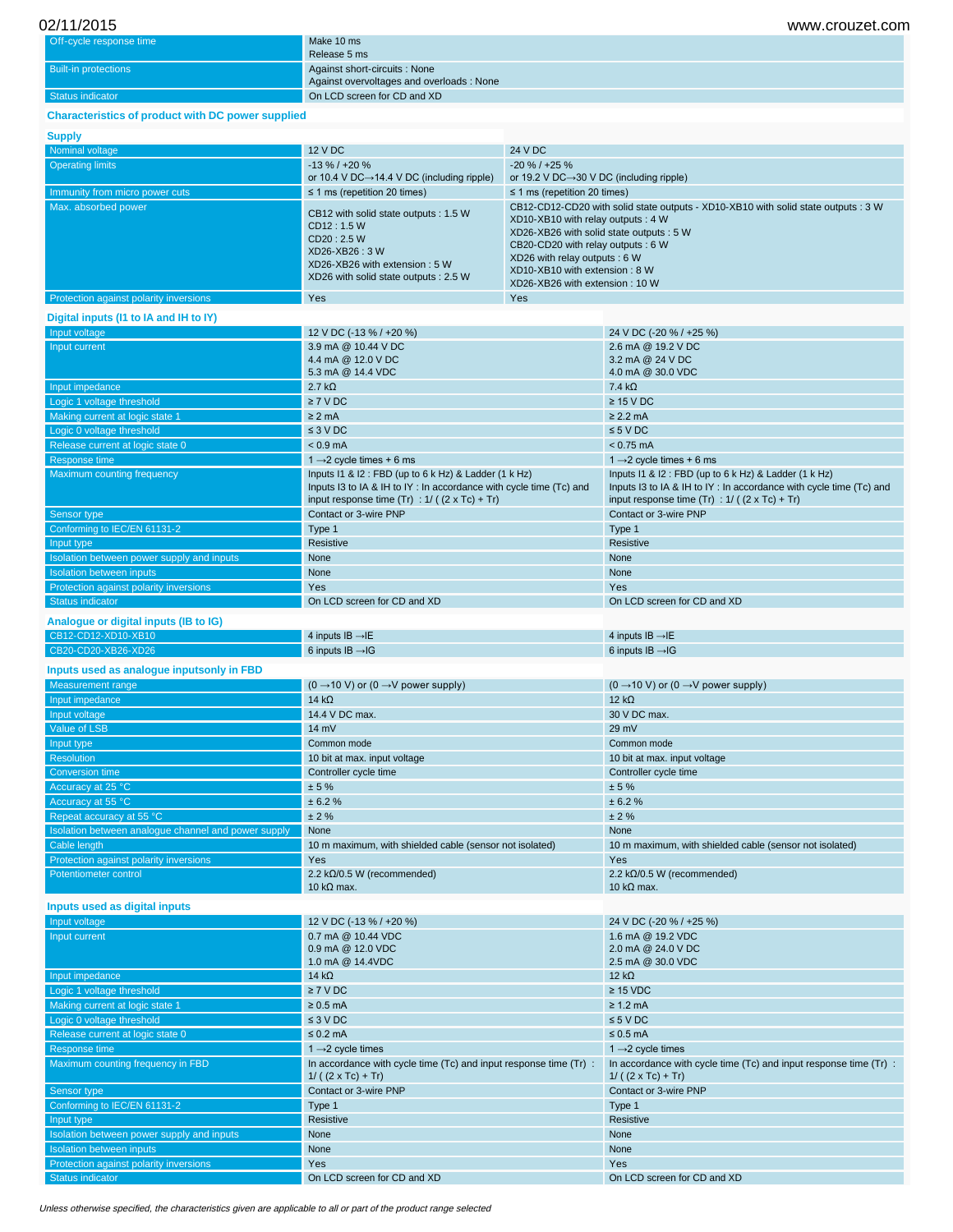| Off-cycle response time     | Make 10 ms                               |
|-----------------------------|------------------------------------------|
|                             | Release 5 ms                             |
| <b>Built-in protections</b> | Against short-circuits: None             |
|                             | Against overvoltages and overloads: None |
| Status indicator            | On LCD screen for CD and XD              |

# **Characteristics of product with DC power supplied**

#### **Supply**

| oupply                                 |                                                                                                                                                                 |                                                                                                                                                                                                                                                                                                              |
|----------------------------------------|-----------------------------------------------------------------------------------------------------------------------------------------------------------------|--------------------------------------------------------------------------------------------------------------------------------------------------------------------------------------------------------------------------------------------------------------------------------------------------------------|
| Nominal voltage                        | 12 V DC                                                                                                                                                         | 24 V DC                                                                                                                                                                                                                                                                                                      |
| <b>Operating limits</b>                | $-13\% / +20\%$<br>or 10.4 V DC $\rightarrow$ 14.4 V DC (including ripple)                                                                                      | $-20\%$ / $+25\%$<br>or 19.2 V DC $\rightarrow$ 30 V DC (including ripple)                                                                                                                                                                                                                                   |
| Immunity from micro power cuts         | $\leq$ 1 ms (repetition 20 times)                                                                                                                               | $\leq$ 1 ms (repetition 20 times)                                                                                                                                                                                                                                                                            |
| Max. absorbed power                    | CB12 with solid state outputs : 1.5 W<br>CD12: 1.5 W<br>CD20:2.5 W<br>XD26-XB26: 3 W<br>XD26-XB26 with extension : 5 W<br>XD26 with solid state outputs : 2.5 W | CB12-CD12-CD20 with solid state outputs - XD10-XB10 with solid state outputs : 3 W<br>XD10-XB10 with relay outputs: 4 W<br>XD26-XB26 with solid state outputs : 5 W<br>CB20-CD20 with relay outputs: 6 W<br>XD26 with relay outputs : 6 W<br>XD10-XB10 with extension: 8 W<br>XD26-XB26 with extension: 10 W |
| Protection against polarity inversions | Yes                                                                                                                                                             | <b>Yes</b>                                                                                                                                                                                                                                                                                                   |

## **Digital inputs (I1 to IA and IH to IY)**

| 12 V DC (-13 % / +20 %)<br>24 V DC (-20 % / +25 %)<br>Input voltage<br>Input current<br>3.9 mA @ 10.44 V DC<br>2.6 mA @ 19.2 V DC<br>4.4 mA @ 12.0 V DC<br>3.2 mA @ 24 V DC<br>5.3 mA @ 14.4 VDC<br>4.0 mA @ 30.0 VDC<br>$2.7 k\Omega$<br>$7.4 k\Omega$<br>Input impedance<br>Logic 1 voltage threshold<br>$\geq 7$ V DC<br>$\geq$ 15 V DC<br>$\geq$ 2.2 mA<br>Making current at logic state 1<br>$\geq$ 2 mA<br>$\leq 3$ V DC<br>$\leq 5$ V DC<br>Logic 0 voltage threshold<br>Release current at logic state 0<br>$< 0.9$ mA<br>$< 0.75$ mA<br>Response time<br>1 $\rightarrow$ 2 cycle times + 6 ms<br>1 $\rightarrow$ 2 cycle times + 6 ms<br>Maximum counting frequency<br>Inputs I1 & I2: FBD (up to 6 k Hz) & Ladder (1 k Hz)<br>Inputs I1 & I2 : FBD (up to 6 k Hz) & Ladder (1 k Hz)<br>Inputs I3 to IA & IH to IY: In accordance with cycle time (Tc) and<br>Inputs I3 to IA & IH to IY: In accordance with cycle time (Tc) and<br>input response time $(Tr)$ : $1/$ ( $(2 \times Tc) + Tr$ )<br>input response time $(Tr)$ : 1/ ( $(2 \times Tc) + Tr$ )<br>Contact or 3-wire PNP<br>Contact or 3-wire PNP<br>Sensor type<br>Conforming to IEC/EN 61131-2<br>Type 1<br>Type 1<br>Resistive<br>Resistive<br>Input type<br>None<br>None<br>Isolation between power supply and inputs<br>None<br><b>Isolation between inputs</b><br>None<br>Protection against polarity inversions<br>Yes<br>Yes |  |
|----------------------------------------------------------------------------------------------------------------------------------------------------------------------------------------------------------------------------------------------------------------------------------------------------------------------------------------------------------------------------------------------------------------------------------------------------------------------------------------------------------------------------------------------------------------------------------------------------------------------------------------------------------------------------------------------------------------------------------------------------------------------------------------------------------------------------------------------------------------------------------------------------------------------------------------------------------------------------------------------------------------------------------------------------------------------------------------------------------------------------------------------------------------------------------------------------------------------------------------------------------------------------------------------------------------------------------------------------------------------------------------------------------|--|
|                                                                                                                                                                                                                                                                                                                                                                                                                                                                                                                                                                                                                                                                                                                                                                                                                                                                                                                                                                                                                                                                                                                                                                                                                                                                                                                                                                                                          |  |
|                                                                                                                                                                                                                                                                                                                                                                                                                                                                                                                                                                                                                                                                                                                                                                                                                                                                                                                                                                                                                                                                                                                                                                                                                                                                                                                                                                                                          |  |
|                                                                                                                                                                                                                                                                                                                                                                                                                                                                                                                                                                                                                                                                                                                                                                                                                                                                                                                                                                                                                                                                                                                                                                                                                                                                                                                                                                                                          |  |
|                                                                                                                                                                                                                                                                                                                                                                                                                                                                                                                                                                                                                                                                                                                                                                                                                                                                                                                                                                                                                                                                                                                                                                                                                                                                                                                                                                                                          |  |
|                                                                                                                                                                                                                                                                                                                                                                                                                                                                                                                                                                                                                                                                                                                                                                                                                                                                                                                                                                                                                                                                                                                                                                                                                                                                                                                                                                                                          |  |
|                                                                                                                                                                                                                                                                                                                                                                                                                                                                                                                                                                                                                                                                                                                                                                                                                                                                                                                                                                                                                                                                                                                                                                                                                                                                                                                                                                                                          |  |
|                                                                                                                                                                                                                                                                                                                                                                                                                                                                                                                                                                                                                                                                                                                                                                                                                                                                                                                                                                                                                                                                                                                                                                                                                                                                                                                                                                                                          |  |
|                                                                                                                                                                                                                                                                                                                                                                                                                                                                                                                                                                                                                                                                                                                                                                                                                                                                                                                                                                                                                                                                                                                                                                                                                                                                                                                                                                                                          |  |
|                                                                                                                                                                                                                                                                                                                                                                                                                                                                                                                                                                                                                                                                                                                                                                                                                                                                                                                                                                                                                                                                                                                                                                                                                                                                                                                                                                                                          |  |
|                                                                                                                                                                                                                                                                                                                                                                                                                                                                                                                                                                                                                                                                                                                                                                                                                                                                                                                                                                                                                                                                                                                                                                                                                                                                                                                                                                                                          |  |
|                                                                                                                                                                                                                                                                                                                                                                                                                                                                                                                                                                                                                                                                                                                                                                                                                                                                                                                                                                                                                                                                                                                                                                                                                                                                                                                                                                                                          |  |
|                                                                                                                                                                                                                                                                                                                                                                                                                                                                                                                                                                                                                                                                                                                                                                                                                                                                                                                                                                                                                                                                                                                                                                                                                                                                                                                                                                                                          |  |
|                                                                                                                                                                                                                                                                                                                                                                                                                                                                                                                                                                                                                                                                                                                                                                                                                                                                                                                                                                                                                                                                                                                                                                                                                                                                                                                                                                                                          |  |
|                                                                                                                                                                                                                                                                                                                                                                                                                                                                                                                                                                                                                                                                                                                                                                                                                                                                                                                                                                                                                                                                                                                                                                                                                                                                                                                                                                                                          |  |
|                                                                                                                                                                                                                                                                                                                                                                                                                                                                                                                                                                                                                                                                                                                                                                                                                                                                                                                                                                                                                                                                                                                                                                                                                                                                                                                                                                                                          |  |
|                                                                                                                                                                                                                                                                                                                                                                                                                                                                                                                                                                                                                                                                                                                                                                                                                                                                                                                                                                                                                                                                                                                                                                                                                                                                                                                                                                                                          |  |
|                                                                                                                                                                                                                                                                                                                                                                                                                                                                                                                                                                                                                                                                                                                                                                                                                                                                                                                                                                                                                                                                                                                                                                                                                                                                                                                                                                                                          |  |
|                                                                                                                                                                                                                                                                                                                                                                                                                                                                                                                                                                                                                                                                                                                                                                                                                                                                                                                                                                                                                                                                                                                                                                                                                                                                                                                                                                                                          |  |
|                                                                                                                                                                                                                                                                                                                                                                                                                                                                                                                                                                                                                                                                                                                                                                                                                                                                                                                                                                                                                                                                                                                                                                                                                                                                                                                                                                                                          |  |
| <b>Status indicator</b><br>On LCD screen for CD and XD<br>On LCD screen for CD and XD                                                                                                                                                                                                                                                                                                                                                                                                                                                                                                                                                                                                                                                                                                                                                                                                                                                                                                                                                                                                                                                                                                                                                                                                                                                                                                                    |  |
| Analogue or digital inputs (IB to IG)                                                                                                                                                                                                                                                                                                                                                                                                                                                                                                                                                                                                                                                                                                                                                                                                                                                                                                                                                                                                                                                                                                                                                                                                                                                                                                                                                                    |  |
| CB12-CD12-XD10-XB10<br>4 inputs $IB \rightarrow IE$<br>4 inputs $IB \rightarrow IE$                                                                                                                                                                                                                                                                                                                                                                                                                                                                                                                                                                                                                                                                                                                                                                                                                                                                                                                                                                                                                                                                                                                                                                                                                                                                                                                      |  |
| CB20-CD20-XB26-XD26<br>6 inputs $IB \rightarrow IG$<br>6 inputs $IB \rightarrow IG$                                                                                                                                                                                                                                                                                                                                                                                                                                                                                                                                                                                                                                                                                                                                                                                                                                                                                                                                                                                                                                                                                                                                                                                                                                                                                                                      |  |
| Inputs used as analogue inputsonly in FBD                                                                                                                                                                                                                                                                                                                                                                                                                                                                                                                                                                                                                                                                                                                                                                                                                                                                                                                                                                                                                                                                                                                                                                                                                                                                                                                                                                |  |
| <b>Measurement</b> range<br>$(0 \rightarrow 10 \text{ V})$ or $(0 \rightarrow V$ power supply)<br>$(0 \rightarrow 10 \text{ V})$ or $(0 \rightarrow V$ power supply)                                                                                                                                                                                                                                                                                                                                                                                                                                                                                                                                                                                                                                                                                                                                                                                                                                                                                                                                                                                                                                                                                                                                                                                                                                     |  |
| Input impedance<br>14 $k\Omega$<br>$12 k\Omega$                                                                                                                                                                                                                                                                                                                                                                                                                                                                                                                                                                                                                                                                                                                                                                                                                                                                                                                                                                                                                                                                                                                                                                                                                                                                                                                                                          |  |
| 14.4 V DC max.<br>30 V DC max.<br>Input voltage                                                                                                                                                                                                                                                                                                                                                                                                                                                                                                                                                                                                                                                                                                                                                                                                                                                                                                                                                                                                                                                                                                                                                                                                                                                                                                                                                          |  |
| Value of LSB<br>$14 \text{ mV}$<br>29 mV                                                                                                                                                                                                                                                                                                                                                                                                                                                                                                                                                                                                                                                                                                                                                                                                                                                                                                                                                                                                                                                                                                                                                                                                                                                                                                                                                                 |  |
| Input type<br>Common mode<br>Common mode                                                                                                                                                                                                                                                                                                                                                                                                                                                                                                                                                                                                                                                                                                                                                                                                                                                                                                                                                                                                                                                                                                                                                                                                                                                                                                                                                                 |  |
| Resolution<br>10 bit at max. input voltage<br>10 bit at max. input voltage                                                                                                                                                                                                                                                                                                                                                                                                                                                                                                                                                                                                                                                                                                                                                                                                                                                                                                                                                                                                                                                                                                                                                                                                                                                                                                                               |  |
| <b>Conversion time</b><br>Controller cycle time<br>Controller cycle time                                                                                                                                                                                                                                                                                                                                                                                                                                                                                                                                                                                                                                                                                                                                                                                                                                                                                                                                                                                                                                                                                                                                                                                                                                                                                                                                 |  |
| Accuracy at 25 °C<br>± 5%<br>± 5%                                                                                                                                                                                                                                                                                                                                                                                                                                                                                                                                                                                                                                                                                                                                                                                                                                                                                                                                                                                                                                                                                                                                                                                                                                                                                                                                                                        |  |
| Accuracy at 55 °C<br>± 6.2%<br>± 6.2%                                                                                                                                                                                                                                                                                                                                                                                                                                                                                                                                                                                                                                                                                                                                                                                                                                                                                                                                                                                                                                                                                                                                                                                                                                                                                                                                                                    |  |
|                                                                                                                                                                                                                                                                                                                                                                                                                                                                                                                                                                                                                                                                                                                                                                                                                                                                                                                                                                                                                                                                                                                                                                                                                                                                                                                                                                                                          |  |
|                                                                                                                                                                                                                                                                                                                                                                                                                                                                                                                                                                                                                                                                                                                                                                                                                                                                                                                                                                                                                                                                                                                                                                                                                                                                                                                                                                                                          |  |
| ± 2%<br>± 2%<br>Repeat accuracy at 55 °C                                                                                                                                                                                                                                                                                                                                                                                                                                                                                                                                                                                                                                                                                                                                                                                                                                                                                                                                                                                                                                                                                                                                                                                                                                                                                                                                                                 |  |
| Isolation between analogue channel and power supply<br>None<br>None                                                                                                                                                                                                                                                                                                                                                                                                                                                                                                                                                                                                                                                                                                                                                                                                                                                                                                                                                                                                                                                                                                                                                                                                                                                                                                                                      |  |
| Cable length<br>10 m maximum, with shielded cable (sensor not isolated)<br>10 m maximum, with shielded cable (sensor not isolated)                                                                                                                                                                                                                                                                                                                                                                                                                                                                                                                                                                                                                                                                                                                                                                                                                                                                                                                                                                                                                                                                                                                                                                                                                                                                       |  |
| Protection against polarity inversions<br>Yes<br>Yes                                                                                                                                                                                                                                                                                                                                                                                                                                                                                                                                                                                                                                                                                                                                                                                                                                                                                                                                                                                                                                                                                                                                                                                                                                                                                                                                                     |  |
| 2.2 $k\Omega/0.5$ W (recommended)<br>Potentiometer control<br>2.2 k $\Omega$ /0.5 W (recommended)                                                                                                                                                                                                                                                                                                                                                                                                                                                                                                                                                                                                                                                                                                                                                                                                                                                                                                                                                                                                                                                                                                                                                                                                                                                                                                        |  |
| 10 k $\Omega$ max.<br>10 k $\Omega$ max.                                                                                                                                                                                                                                                                                                                                                                                                                                                                                                                                                                                                                                                                                                                                                                                                                                                                                                                                                                                                                                                                                                                                                                                                                                                                                                                                                                 |  |
| Inputs used as digital inputs                                                                                                                                                                                                                                                                                                                                                                                                                                                                                                                                                                                                                                                                                                                                                                                                                                                                                                                                                                                                                                                                                                                                                                                                                                                                                                                                                                            |  |
| Input voltage<br>12 V DC (-13 % / +20 %)<br>24 V DC (-20 % / +25 %)                                                                                                                                                                                                                                                                                                                                                                                                                                                                                                                                                                                                                                                                                                                                                                                                                                                                                                                                                                                                                                                                                                                                                                                                                                                                                                                                      |  |
| 0.7 mA @ 10.44 VDC<br>1.6 mA @ 19.2 VDC<br>Input current                                                                                                                                                                                                                                                                                                                                                                                                                                                                                                                                                                                                                                                                                                                                                                                                                                                                                                                                                                                                                                                                                                                                                                                                                                                                                                                                                 |  |
| 0.9 mA @ 12.0 VDC<br>2.0 mA @ 24.0 V DC                                                                                                                                                                                                                                                                                                                                                                                                                                                                                                                                                                                                                                                                                                                                                                                                                                                                                                                                                                                                                                                                                                                                                                                                                                                                                                                                                                  |  |
| 1.0 mA @ 14.4VDC<br>2.5 mA @ 30.0 VDC                                                                                                                                                                                                                                                                                                                                                                                                                                                                                                                                                                                                                                                                                                                                                                                                                                                                                                                                                                                                                                                                                                                                                                                                                                                                                                                                                                    |  |
| 14 $k\Omega$<br>$12 k\Omega$<br>Input impedance                                                                                                                                                                                                                                                                                                                                                                                                                                                                                                                                                                                                                                                                                                                                                                                                                                                                                                                                                                                                                                                                                                                                                                                                                                                                                                                                                          |  |
| Logic 1 voltage threshold<br>$\geq 7$ V DC<br>$\geq$ 15 VDC                                                                                                                                                                                                                                                                                                                                                                                                                                                                                                                                                                                                                                                                                                                                                                                                                                                                                                                                                                                                                                                                                                                                                                                                                                                                                                                                              |  |
| Making current at logic state 1<br>$\geq 0.5$ mA<br>$\geq 1.2$ mA                                                                                                                                                                                                                                                                                                                                                                                                                                                                                                                                                                                                                                                                                                                                                                                                                                                                                                                                                                                                                                                                                                                                                                                                                                                                                                                                        |  |
| $\leq 5$ V DC<br>Logic 0 voltage threshold<br>$\leq 3$ V DC                                                                                                                                                                                                                                                                                                                                                                                                                                                                                                                                                                                                                                                                                                                                                                                                                                                                                                                                                                                                                                                                                                                                                                                                                                                                                                                                              |  |
| Release current at logic state 0<br>$\leq 0.2$ mA<br>$\leq 0.5$ mA                                                                                                                                                                                                                                                                                                                                                                                                                                                                                                                                                                                                                                                                                                                                                                                                                                                                                                                                                                                                                                                                                                                                                                                                                                                                                                                                       |  |
| Response time<br>1 $\rightarrow$ 2 cycle times<br>$1 \rightarrow 2$ cycle times                                                                                                                                                                                                                                                                                                                                                                                                                                                                                                                                                                                                                                                                                                                                                                                                                                                                                                                                                                                                                                                                                                                                                                                                                                                                                                                          |  |
| Maximum counting frequency in FBD<br>In accordance with cycle time (Tc) and input response time (Tr) :<br>In accordance with cycle time (Tc) and input response time (Tr) :                                                                                                                                                                                                                                                                                                                                                                                                                                                                                                                                                                                                                                                                                                                                                                                                                                                                                                                                                                                                                                                                                                                                                                                                                              |  |
| $1/((2 \times Tc) + Tr)$<br>$1/((2 \times Tc) + Tr)$                                                                                                                                                                                                                                                                                                                                                                                                                                                                                                                                                                                                                                                                                                                                                                                                                                                                                                                                                                                                                                                                                                                                                                                                                                                                                                                                                     |  |
| Contact or 3-wire PNP<br>Contact or 3-wire PNP<br>Sensor type<br>Conforming to IEC/EN 61131-2<br>Type 1<br>Type 1                                                                                                                                                                                                                                                                                                                                                                                                                                                                                                                                                                                                                                                                                                                                                                                                                                                                                                                                                                                                                                                                                                                                                                                                                                                                                        |  |

Isolation between power supply and inputs None None

Status indicator CD and XD On LCD screen for CD and XD On LCD screen for CD and XD On LCD screen for CD and XD

Isolation between inputs None None Protection against polarity inversions Yes Yes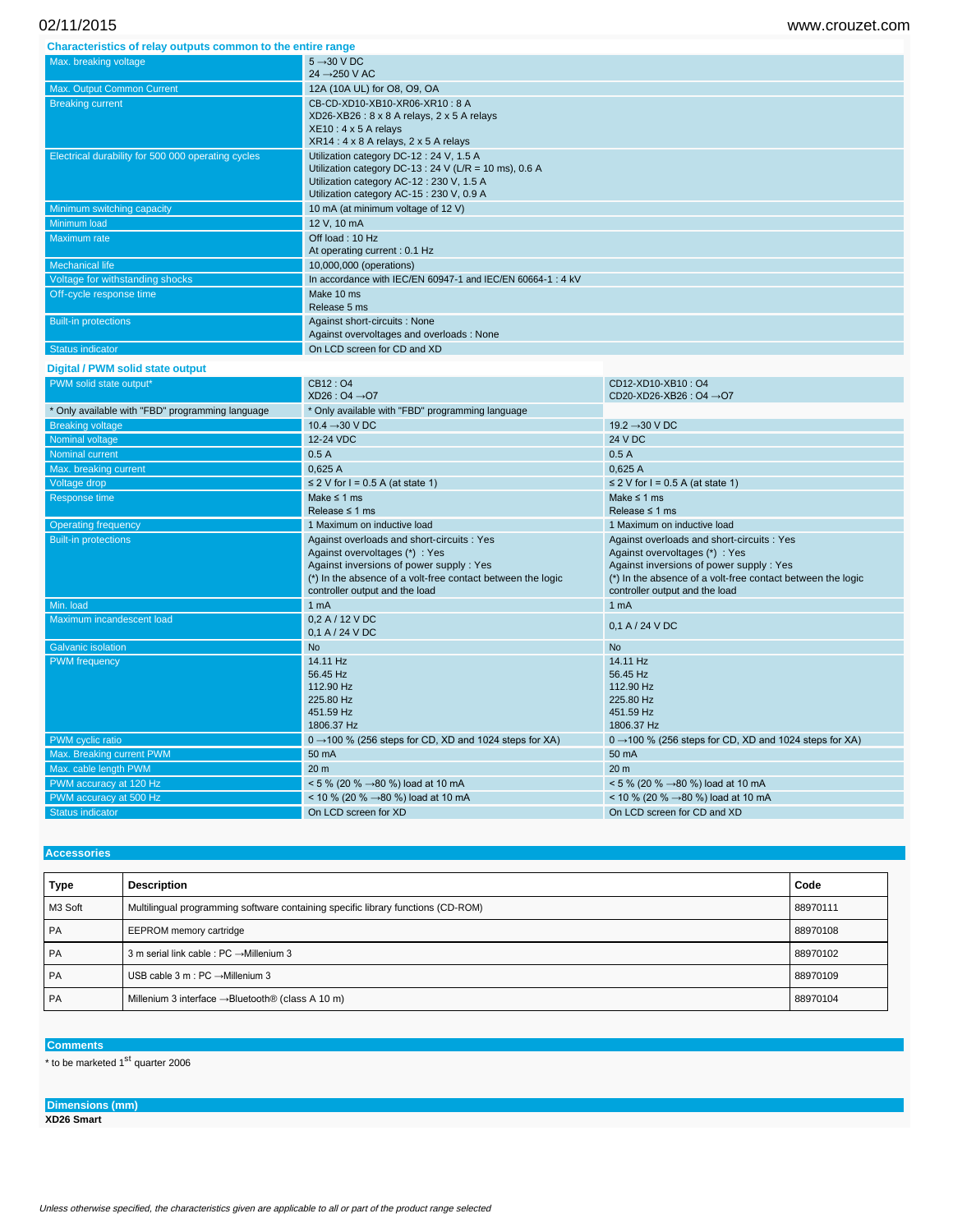**Characteristics of relay outputs common to the entire range**

| <u>onaraotonouod on rolay oatpato oolilinon to tho ontho rango</u> |                                                                                                                                                                                           |
|--------------------------------------------------------------------|-------------------------------------------------------------------------------------------------------------------------------------------------------------------------------------------|
| Max. breaking voltage                                              | $5 \rightarrow 30$ V DC<br>$24 \rightarrow 250 \text{ V AC}$                                                                                                                              |
| Max. Output Common Current                                         | 12A (10A UL) for O8, O9, OA                                                                                                                                                               |
| <b>Breaking current</b>                                            | CB-CD-XD10-XB10-XR06-XR10: 8 A<br>XD26-XB26: 8 x 8 A relays, 2 x 5 A relays<br>$XE10: 4 \times 5$ A relays<br>$XR14:4 \times 8$ A relays, 2 x 5 A relays                                  |
| Electrical durability for 500 000 operating cycles                 | Utilization category DC-12: 24 V, 1.5 A<br>Utilization category DC-13 : 24 V (L/R = 10 ms), 0.6 A<br>Utilization category AC-12: 230 V, 1.5 A<br>Utilization category AC-15: 230 V, 0.9 A |
| Minimum switching capacity                                         | 10 mA (at minimum voltage of 12 V)                                                                                                                                                        |
|                                                                    |                                                                                                                                                                                           |
| Minimum load                                                       | 12 V, 10 mA                                                                                                                                                                               |
| Maximum rate                                                       | Off load: 10 Hz<br>At operating current: 0.1 Hz                                                                                                                                           |
| <b>Mechanical life</b>                                             | 10,000,000 (operations)                                                                                                                                                                   |
| Voltage for withstanding shocks                                    | In accordance with IEC/EN 60947-1 and IEC/EN 60664-1: 4 kV                                                                                                                                |
| Off-cycle response time                                            | Make 10 ms<br>Release 5 ms                                                                                                                                                                |
| <b>Built-in protections</b>                                        | Against short-circuits : None<br>Against overvoltages and overloads: None                                                                                                                 |

#### **Digital / PWM solid state output**

| PWM solid state output*                          | CB12:04                                                            | CD12-XD10-XB10: O4                                                 |
|--------------------------------------------------|--------------------------------------------------------------------|--------------------------------------------------------------------|
|                                                  | $XD26:04 \rightarrow 07$                                           | CD20-XD26-XB26 : O4 → O7                                           |
| * Only available with "FBD" programming language | * Only available with "FBD" programming language                   |                                                                    |
| <b>Breaking voltage</b>                          | 10.4 $\rightarrow$ 30 V DC                                         | 19.2 $\rightarrow$ 30 V DC                                         |
| Nominal voltage                                  | 12-24 VDC                                                          | 24 V DC                                                            |
| <b>Nominal current</b>                           | 0.5A                                                               | 0.5A                                                               |
| Max. breaking current                            | 0.625A                                                             | 0.625A                                                             |
| Voltage drop                                     | $\leq$ 2 V for I = 0.5 A (at state 1)                              | $\leq$ 2 V for I = 0.5 A (at state 1)                              |
| Response time                                    | Make $\leq 1$ ms                                                   | Make $\leq 1$ ms                                                   |
|                                                  | Release $\leq 1$ ms                                                | Release $\leq$ 1 ms                                                |
| <b>Operating frequency</b>                       | 1 Maximum on inductive load                                        | 1 Maximum on inductive load                                        |
| <b>Built-in protections</b>                      | Against overloads and short-circuits : Yes                         | Against overloads and short-circuits : Yes                         |
|                                                  | Against overvoltages (*) : Yes                                     | Against overvoltages (*) : Yes                                     |
|                                                  | Against inversions of power supply : Yes                           | Against inversions of power supply: Yes                            |
|                                                  | (*) In the absence of a volt-free contact between the logic        | (*) In the absence of a volt-free contact between the logic        |
|                                                  | controller output and the load                                     | controller output and the load                                     |
|                                                  |                                                                    |                                                                    |
| Min. load                                        | 1 <sub>mA</sub>                                                    | 1 <sub>mA</sub>                                                    |
| Maximum incandescent load                        | 0.2 A / 12 V DC<br>0,1 A / 24 V DC                                 | 0,1 A / 24 V DC                                                    |
| <b>Galvanic isolation</b>                        | <b>No</b>                                                          | <b>No</b>                                                          |
| <b>PWM</b> frequency                             | 14.11 Hz                                                           | 14.11 Hz                                                           |
|                                                  | 56.45 Hz                                                           | 56.45 Hz                                                           |
|                                                  | 112.90 Hz                                                          | 112.90 Hz                                                          |
|                                                  | 225.80 Hz                                                          | 225.80 Hz                                                          |
|                                                  | 451.59 Hz                                                          | 451.59 Hz                                                          |
|                                                  | 1806.37 Hz                                                         | 1806.37 Hz                                                         |
| PWM cyclic ratio                                 | $0 \rightarrow 100$ % (256 steps for CD, XD and 1024 steps for XA) | $0 \rightarrow 100$ % (256 steps for CD, XD and 1024 steps for XA) |
| Max. Breaking current PWM                        | 50 mA                                                              | 50 mA                                                              |
| Max. cable length PWM                            | 20 <sub>m</sub>                                                    | 20 <sub>m</sub>                                                    |
| PWM accuracy at 120 Hz                           | < 5 % (20 % $\rightarrow$ 80 %) load at 10 mA                      | $< 5 \%$ (20 % $\rightarrow$ 80 %) load at 10 mA                   |
| PWM accuracy at 500 Hz                           | < 10 % (20 % $\rightarrow$ 80 %) load at 10 mA                     | < 10 % (20 % $\rightarrow$ 80 %) load at 10 mA                     |

# **Accessories Type Description Code** M3 Soft Multilingual programming software containing specific library functions (CD-ROM) 88970111 PA EEPROM memory cartridge 88970108 PA 3 m serial link cable : PC →Millenium 3 88970102 PA USB cable 3 m : PC →Millenium 3 88970109 PA Millenium 3 interface →Bluetooth® (class A 10 m) 88970104

### **Comments**

 $*$  to be marketed 1<sup>st</sup> quarter 2006

**Dimensions (mm) XD26 Smart**